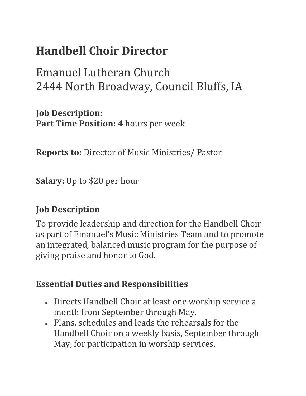## **Handbell Choir Director**

Emanuel Lutheran Church 2444 North Broadway, Council Bluffs, IA

**Job Description: Part Time Position: 4** hours per week

**Reports to:** Director of Music Ministries/ Pastor

**Salary:** Up to \$20 per hour

## **Job Description**

To provide leadership and direction for the Handbell Choir as part of Emanuel's Music Ministries Team and to promote an integrated, balanced music program for the purpose of giving praise and honor to God.

## **Essential Duties and Responsibilities**

- Directs Handbell Choir at least one worship service a month from September through May.
- Plans, schedules and leads the rehearsals for the Handbell Choir on a weekly basis, September through May, for participation in worship services.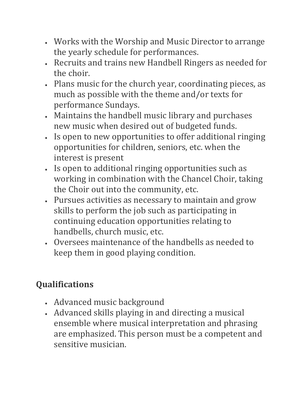- Works with the Worship and Music Director to arrange the yearly schedule for performances.
- Recruits and trains new Handbell Ringers as needed for the choir.
- Plans music for the church year, coordinating pieces, as much as possible with the theme and/or texts for performance Sundays.
- Maintains the handbell music library and purchases new music when desired out of budgeted funds.
- Is open to new opportunities to offer additional ringing opportunities for children, seniors, etc. when the interest is present
- Is open to additional ringing opportunities such as working in combination with the Chancel Choir, taking the Choir out into the community, etc.
- Pursues activities as necessary to maintain and grow skills to perform the job such as participating in continuing education opportunities relating to handbells, church music, etc.
- Oversees maintenance of the handbells as needed to keep them in good playing condition.

## **Qualifications**

- Advanced music background
- Advanced skills playing in and directing a musical ensemble where musical interpretation and phrasing are emphasized. This person must be a competent and sensitive musician.